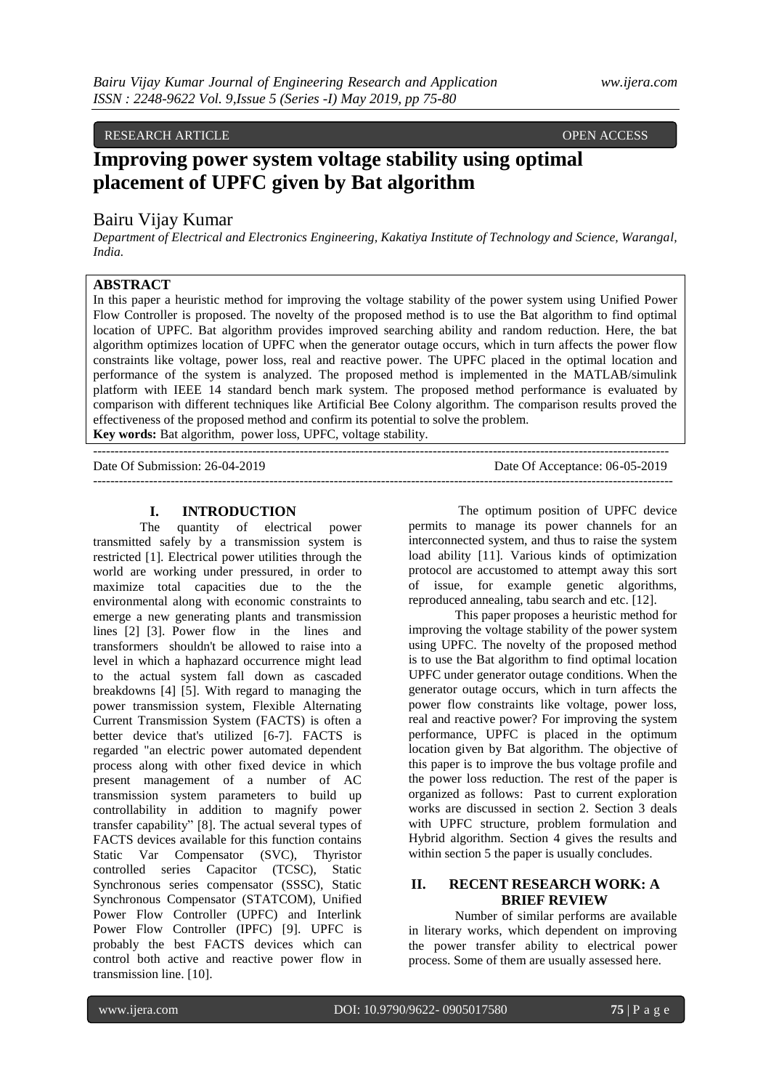# RESEARCH ARTICLE **CONSERVERS** OPEN ACCESS OPEN ACCESS

# **Improving power system voltage stability using optimal placement of UPFC given by Bat algorithm**

# Bairu Vijay Kumar

*Department of Electrical and Electronics Engineering, Kakatiya Institute of Technology and Science, Warangal, India.* 

# **ABSTRACT**

In this paper a heuristic method for improving the voltage stability of the power system using Unified Power Flow Controller is proposed. The novelty of the proposed method is to use the Bat algorithm to find optimal location of UPFC. Bat algorithm provides improved searching ability and random reduction. Here, the bat algorithm optimizes location of UPFC when the generator outage occurs, which in turn affects the power flow constraints like voltage, power loss, real and reactive power. The UPFC placed in the optimal location and performance of the system is analyzed. The proposed method is implemented in the MATLAB/simulink platform with IEEE 14 standard bench mark system. The proposed method performance is evaluated by comparison with different techniques like Artificial Bee Colony algorithm. The comparison results proved the effectiveness of the proposed method and confirm its potential to solve the problem.

**Key words:** Bat algorithm, power loss, UPFC, voltage stability.

 $-+++++++++$ 

Date Of Submission: 26-04-2019 Date Of Acceptance: 06-05-2019 ---------------------------------------------------------------------------------------------------------------------------------------

## **I. INTRODUCTION**

The quantity of electrical power transmitted safely by a transmission system is restricted [1]. Electrical power utilities through the world are working under pressured, in order to maximize total capacities due to the the environmental along with economic constraints to emerge a new generating plants and transmission lines [2] [3]. Power flow in the lines and transformers shouldn't be allowed to raise into a level in which a haphazard occurrence might lead to the actual system fall down as cascaded breakdowns [4] [5]. With regard to managing the power transmission system, Flexible Alternating Current Transmission System (FACTS) is often a better device that's utilized [6-7]. FACTS is regarded "an electric power automated dependent process along with other fixed device in which present management of a number of AC transmission system parameters to build up controllability in addition to magnify power transfer capability" [8]. The actual several types of FACTS devices available for this function contains Static Var Compensator (SVC), Thyristor controlled series Capacitor (TCSC), Static Synchronous series compensator (SSSC), Static Synchronous Compensator (STATCOM), Unified Power Flow Controller (UPFC) and Interlink Power Flow Controller (IPFC) [9]. UPFC is probably the best FACTS devices which can control both active and reactive power flow in transmission line. [10].

The optimum position of UPFC device permits to manage its power channels for an interconnected system, and thus to raise the system load ability [11]. Various kinds of optimization protocol are accustomed to attempt away this sort of issue, for example genetic algorithms, reproduced annealing, tabu search and etc. [12].

This paper proposes a heuristic method for improving the voltage stability of the power system using UPFC. The novelty of the proposed method is to use the Bat algorithm to find optimal location UPFC under generator outage conditions. When the generator outage occurs, which in turn affects the power flow constraints like voltage, power loss, real and reactive power? For improving the system performance, UPFC is placed in the optimum location given by Bat algorithm. The objective of this paper is to improve the bus voltage profile and the power loss reduction. The rest of the paper is organized as follows: Past to current exploration works are discussed in section 2. Section 3 deals with UPFC structure, problem formulation and Hybrid algorithm. Section 4 gives the results and within section 5 the paper is usually concludes.

# **II. RECENT RESEARCH WORK: A BRIEF REVIEW**

Number of similar performs are available in literary works, which dependent on improving the power transfer ability to electrical power process. Some of them are usually assessed here.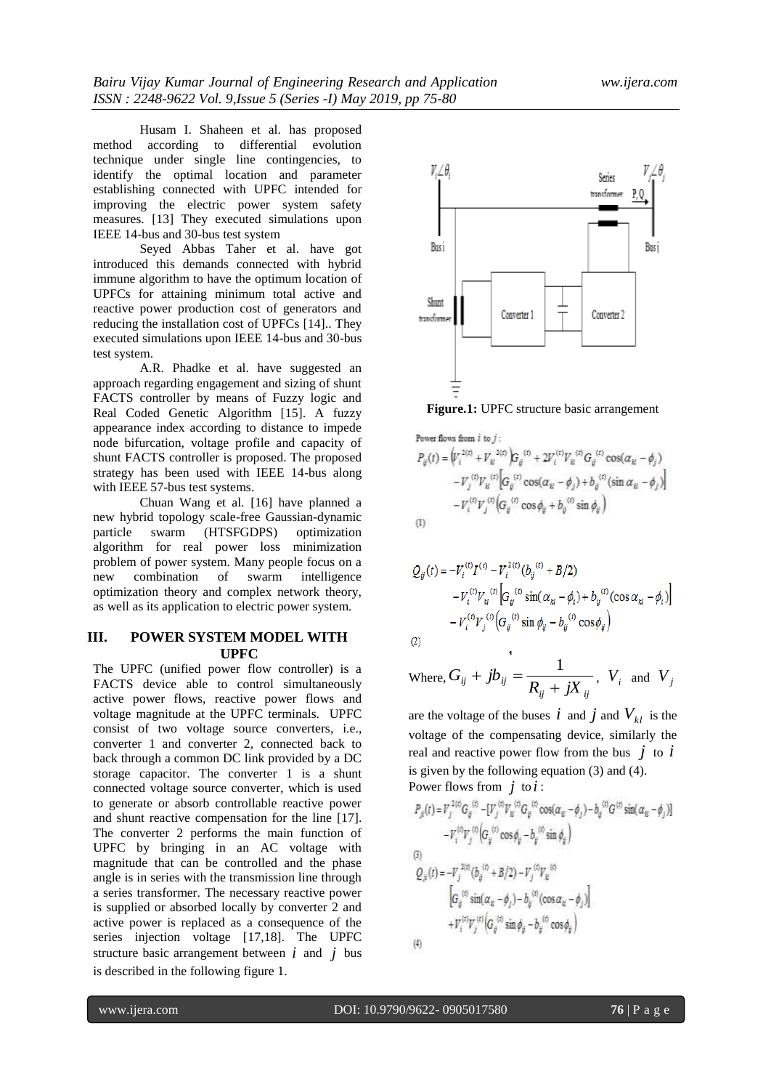Husam I. Shaheen et al. has proposed method according to differential evolution technique under single line contingencies, to identify the optimal location and parameter establishing connected with UPFC intended for improving the electric power system safety measures. [13] They executed simulations upon IEEE 14-bus and 30-bus test system

Seyed Abbas Taher et al. have got introduced this demands connected with hybrid immune algorithm to have the optimum location of UPFCs for attaining minimum total active and reactive power production cost of generators and reducing the installation cost of UPFCs [14].. They executed simulations upon IEEE 14-bus and 30-bus test system.

A.R. Phadke et al. have suggested an approach regarding engagement and sizing of shunt FACTS controller by means of Fuzzy logic and Real Coded Genetic Algorithm [15]. A fuzzy appearance index according to distance to impede node bifurcation, voltage profile and capacity of shunt FACTS controller is proposed. The proposed strategy has been used with IEEE 14-bus along with IEEE 57-bus test systems.

Chuan Wang et al. [16] have planned a new hybrid topology scale-free Gaussian-dynamic particle swarm (HTSFGDPS) optimization algorithm for real power loss minimization problem of power system. Many people focus on a new combination of swarm intelligence optimization theory and complex network theory, as well as its application to electric power system.

## **III. POWER SYSTEM MODEL WITH UPFC**

The UPFC (unified power flow controller) is a FACTS device able to control simultaneously active power flows, reactive power flows and voltage magnitude at the UPFC terminals. UPFC consist of two voltage source converters, i.e., converter 1 and converter 2, connected back to back through a common DC link provided by a DC storage capacitor. The converter 1 is a shunt connected voltage source converter, which is used to generate or absorb controllable reactive power and shunt reactive compensation for the line [17]. The converter 2 performs the main function of UPFC by bringing in an AC voltage with magnitude that can be controlled and the phase angle is in series with the transmission line through a series transformer. The necessary reactive power is supplied or absorbed locally by converter 2 and active power is replaced as a consequence of the series injection voltage [17,18]. The UPFC structure basic arrangement between  $i$  and  $j$  bus is described in the following figure 1.



**Figure.1:** UPFC structure basic arrangement

Power flows from *i* to *j*:  
\n
$$
P_{ij}(t) = \left( V_i^{2(t)} + V_k^{2(t)} \right) G_{ij}^{(t)} + 2V_i^{(t)} V_k^{(t)} G_{ij}^{(t)} \cos(\alpha_{kl} - \phi_j) - V_j^{(t)} V_k^{(t)} \left[ G_{ij}^{(t)} \cos(\alpha_{kl} - \phi_j) + b_{ij}^{(t)} (\sin \alpha_{kl} - \phi_j) \right] - V_i^{(t)} V_j^{(t)} \left( G_{ij}^{(t)} \cos \phi_{ij} + b_{ij}^{(t)} \sin \phi_{ij} \right)
$$
\n(1)

$$
Q_{ij}(t) = -V_i^{(t)} I^{(t)} - V_i^{(t)} (b_{ij}^{(t)} + B/2)
$$
  
\n
$$
-V_i^{(t)} V_{kl}^{(t)} \Big[ G_{ij}^{(t)} \sin(\alpha_{kl} - \phi_i) + b_{ij}^{(t)} (\cos \alpha_{kl} - \phi_i) \Big]
$$
  
\n
$$
-V_i^{(t)} V_j^{(t)} \Big( G_{ij}^{(t)} \sin \phi_{ij} - b_{ij}^{(t)} \cos \phi_{ij} \Big)
$$
  
\n(2)

Where, 
$$
G_{ij} + jb_{ij} = \frac{1}{R_{ij} + jX_{ij}}
$$
,  $V_i$  and  $V_j$ 

are the voltage of the buses  $\vec{i}$  and  $\vec{j}$  and  $V_{kl}$  is the voltage of the compensating device, similarly the real and reactive power flow from the bus  $\dot{j}$  to  $\dot{i}$ is given by the following equation (3) and (4). Power flows from  $j$  to  $i$ :

$$
P_{jk}(t) = V_j^{2(t)} G_{ij}^{(t)} - [V_j^{(t)} V_k^{(t)} G_{ij}^{(t)} \cos(\alpha_u - \phi_j) - b_{ij}^{(t)} G^{(t)} \sin(\alpha_u - \phi_j)]
$$
  
\n
$$
- V_i^{(t)} V_j^{(t)} (G_{ij}^{(t)} \cos \phi_{ij} - b_{ij}^{(t)} \sin \phi_{ij})
$$
  
\n(3)  
\n
$$
Q_{jk}(t) = -V_j^{2(t)} (b_{ij}^{(t)} + B/2) - V_j^{(t)} V_k^{(t)}
$$
  
\n
$$
[G_{ij}^{(t)} \sin(\alpha_u - \phi_j) - b_{ij}^{(t)} (\cos \alpha_u - \phi_j)]
$$
  
\n
$$
+ V_i^{(t)} V_j^{(t)} (G_{ij}^{(t)} \sin \phi_{ij} - b_{ij}^{(t)} \cos \phi_{ij})
$$

 $(4)$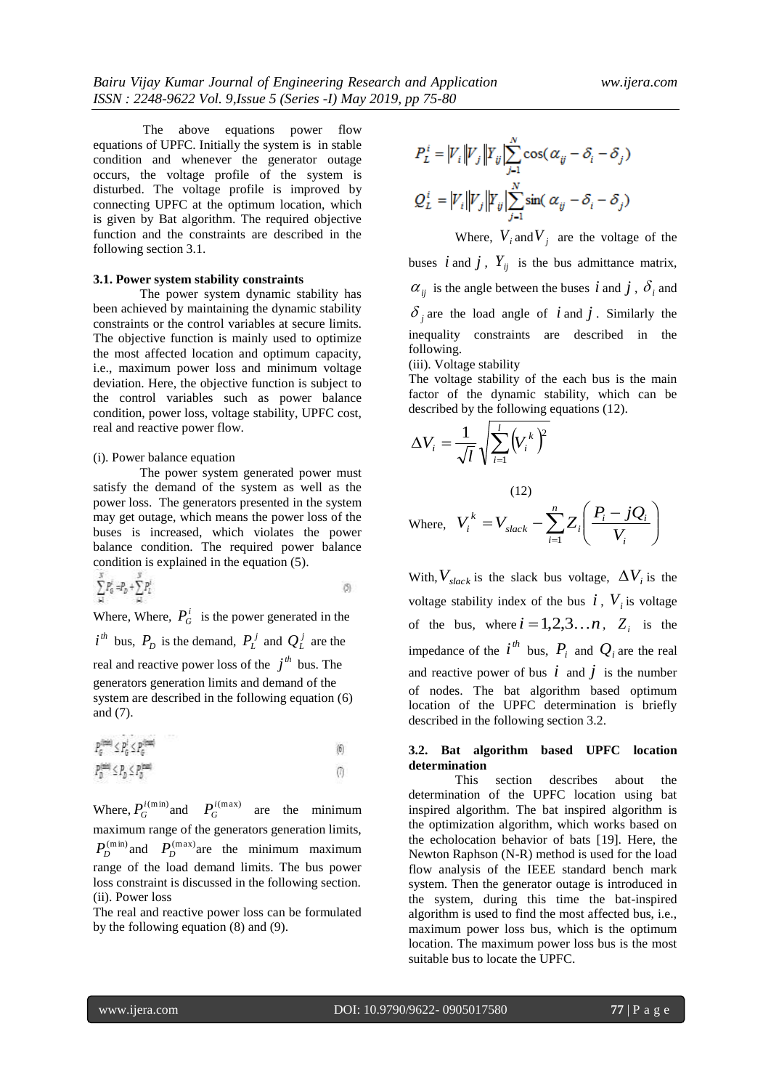The above equations power flow equations of UPFC. Initially the system is in stable condition and whenever the generator outage occurs, the voltage profile of the system is disturbed. The voltage profile is improved by connecting UPFC at the optimum location, which is given by Bat algorithm. The required objective function and the constraints are described in the following section 3.1.

#### **3.1. Power system stability constraints**

The power system dynamic stability has been achieved by maintaining the dynamic stability constraints or the control variables at secure limits. The objective function is mainly used to optimize the most affected location and optimum capacity, i.e., maximum power loss and minimum voltage deviation. Here, the objective function is subject to the control variables such as power balance condition, power loss, voltage stability, UPFC cost, real and reactive power flow.

#### (i). Power balance equation

The power system generated power must satisfy the demand of the system as well as the power loss. The generators presented in the system may get outage, which means the power loss of the buses is increased, which violates the power balance condition. The required power balance condition is explained in the equation (5).

$$
\sum_{i=1}^{N} P_0^i = P_0 + \sum_{i=1}^{N} P_2^i
$$
 (5)

Where, Where,  $P_G^i$  is the power generated in the  $i^{th}$  bus,  $P_D$  is the demand,  $P_L^j$  and  $Q_L^j$  are the real and reactive power loss of the  $j<sup>th</sup>$  bus. The generators generation limits and demand of the system are described in the following equation (6) and (7).

$$
P_{\sigma}^{\text{timei}} \le P_{\sigma}^i \le P_{\sigma}^{\text{timei}} \tag{6}
$$
  
\n
$$
P_{\sigma}^{\text{timei}} \le P_{\sigma} \le P_{\sigma}^{\text{timei}} \tag{7}
$$

Where,  $P_G^{i(\text{min})}$  and  $P_G^{i(\text{max})}$  are the minimum maximum range of the generators generation limits,  $P_D^{(\text{min})}$  and  $P_D^{(\text{max})}$  are the minimum maximum range of the load demand limits. The bus power loss constraint is discussed in the following section. (ii). Power loss

The real and reactive power loss can be formulated by the following equation (8) and (9).

$$
P_L^i = |V_i||V_j||\sum_{j=1}^N \cos(\alpha_{ij} - \delta_i - \delta_j)
$$
  

$$
Q_L^i = |V_i||V_j||\sum_{j=1}^N \sin(\alpha_{ij} - \delta_i - \delta_j)
$$

Where,  $V_i$  and  $V_j$  are the voltage of the buses *i* and *j*,  $Y_{ij}$  is the bus admittance matrix,  $\alpha_{ij}$  is the angle between the buses *i* and *j*,  $\delta_i$  and  $\delta_j$  are the load angle of *i* and *j*. Similarly the inequality constraints are described in the following. (iii). Voltage stability

The voltage stability of the each bus is the main

factor of the dynamic stability, which can be described by the following equations (12).

$$
\Delta V_i = \frac{1}{\sqrt{l}} \sqrt{\sum_{i=1}^{l} (V_i^{\ k})^2}
$$

Where, 
$$
V_i^k = V_{slack} - \sum_{i=1}^n Z_i \left( \frac{P_i - jQ_i}{V_i} \right)
$$

 $(12)$ 

With,  $V_{slack}$  is the slack bus voltage,  $\Delta V_i$  is the voltage stability index of the bus  $i$ ,  $V_i$  is voltage of the bus, where  $i = 1, 2, 3...n$ ,  $Z_i$  is the impedance of the  $i^{th}$  bus,  $P_i$  and  $Q_i$  are the real and reactive power of bus  $\vec{i}$  and  $\vec{j}$  is the number of nodes. The bat algorithm based optimum location of the UPFC determination is briefly described in the following section 3.2.

#### **3.2. Bat algorithm based UPFC location determination**

This section describes about the determination of the UPFC location using bat inspired algorithm. The bat inspired algorithm is the optimization algorithm, which works based on the echolocation behavior of bats [19]. Here, the Newton Raphson (N-R) method is used for the load flow analysis of the IEEE standard bench mark system. Then the generator outage is introduced in the system, during this time the bat-inspired algorithm is used to find the most affected bus, i.e., maximum power loss bus, which is the optimum location. The maximum power loss bus is the most suitable bus to locate the UPFC.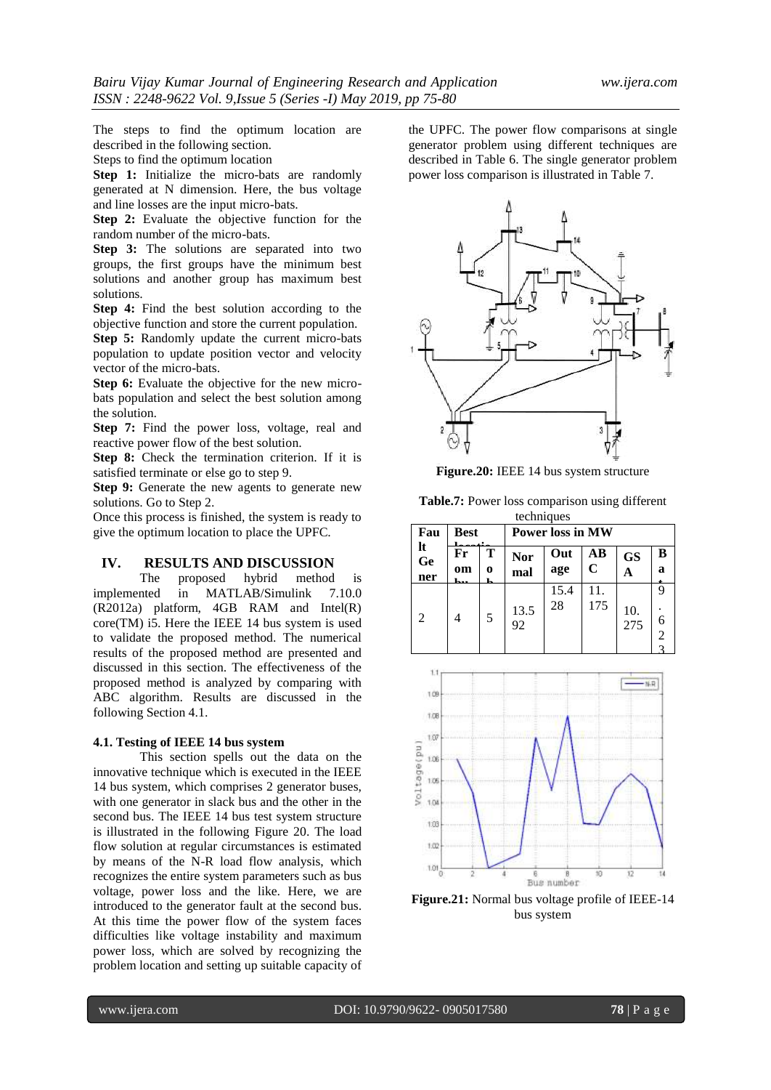The steps to find the optimum location are described in the following section.

Steps to find the optimum location

**Step 1:** Initialize the micro-bats are randomly generated at N dimension. Here, the bus voltage and line losses are the input micro-bats.

**Step 2:** Evaluate the objective function for the random number of the micro-bats.

**Step 3:** The solutions are separated into two groups, the first groups have the minimum best solutions and another group has maximum best solutions.

**Step 4:** Find the best solution according to the objective function and store the current population.

**Step 5:** Randomly update the current micro-bats population to update position vector and velocity vector of the micro-bats.

**Step 6:** Evaluate the objective for the new microbats population and select the best solution among the solution.

**Step 7:** Find the power loss, voltage, real and reactive power flow of the best solution.

**Step 8:** Check the termination criterion. If it is satisfied terminate or else go to step 9.

**Step 9:** Generate the new agents to generate new solutions. Go to Step 2.

Once this process is finished, the system is ready to give the optimum location to place the UPFC.

#### **IV. RESULTS AND DISCUSSION**

The proposed hybrid method is implemented in MATLAB/Simulink 7.10.0 (R2012a) platform, 4GB RAM and Intel(R) core(TM) i5. Here the IEEE 14 bus system is used to validate the proposed method. The numerical results of the proposed method are presented and discussed in this section. The effectiveness of the proposed method is analyzed by comparing with ABC algorithm. Results are discussed in the following Section 4.1.

## **4.1. Testing of IEEE 14 bus system**

This section spells out the data on the innovative technique which is executed in the IEEE 14 bus system, which comprises 2 generator buses, with one generator in slack bus and the other in the second bus. The IEEE 14 bus test system structure is illustrated in the following Figure 20. The load flow solution at regular circumstances is estimated by means of the N-R load flow analysis, which recognizes the entire system parameters such as bus voltage, power loss and the like. Here, we are introduced to the generator fault at the second bus. At this time the power flow of the system faces difficulties like voltage instability and maximum power loss, which are solved by recognizing the problem location and setting up suitable capacity of the UPFC. The power flow comparisons at single generator problem using different techniques are described in Table 6. The single generator problem power loss comparison is illustrated in Table 7.



**Figure.20:** IEEE 14 bus system structure

**Table.7:** Power loss comparison using different techniques

| Fau<br>lt<br>Ge<br>ner | <b>Best</b> |        | <b>Power loss in MW</b> |            |            |            |        |
|------------------------|-------------|--------|-------------------------|------------|------------|------------|--------|
|                        | Fr<br>om    | Т<br>0 | <b>Nor</b><br>mal       | Out<br>age | AВ<br>C    | <b>GS</b>  | B<br>a |
| $\mathfrak{D}$         |             | 5      | 13.5<br>92              | 15.4<br>28 | 11.<br>175 | 10.<br>275 | ◠      |



**Figure.21:** Normal bus voltage profile of IEEE-14 bus system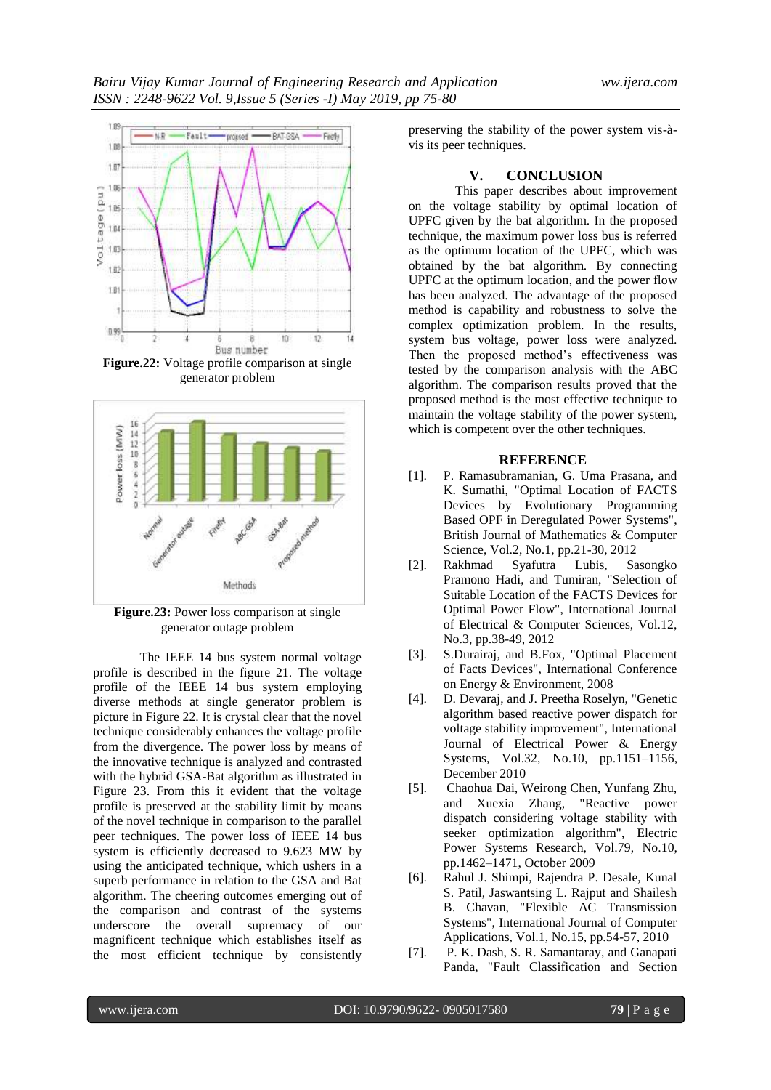

**Figure.22:** Voltage profile comparison at single generator problem



**Figure.23:** Power loss comparison at single generator outage problem

The IEEE 14 bus system normal voltage profile is described in the figure 21. The voltage profile of the IEEE 14 bus system employing diverse methods at single generator problem is picture in Figure 22. It is crystal clear that the novel technique considerably enhances the voltage profile from the divergence. The power loss by means of the innovative technique is analyzed and contrasted with the hybrid GSA-Bat algorithm as illustrated in Figure 23. From this it evident that the voltage profile is preserved at the stability limit by means of the novel technique in comparison to the parallel peer techniques. The power loss of IEEE 14 bus system is efficiently decreased to 9.623 MW by using the anticipated technique, which ushers in a superb performance in relation to the GSA and Bat algorithm. The cheering outcomes emerging out of the comparison and contrast of the systems underscore the overall supremacy of our magnificent technique which establishes itself as the most efficient technique by consistently preserving the stability of the power system vis-àvis its peer techniques.

## **V. CONCLUSION**

This paper describes about improvement on the voltage stability by optimal location of UPFC given by the bat algorithm. In the proposed technique, the maximum power loss bus is referred as the optimum location of the UPFC, which was obtained by the bat algorithm. By connecting UPFC at the optimum location, and the power flow has been analyzed. The advantage of the proposed method is capability and robustness to solve the complex optimization problem. In the results, system bus voltage, power loss were analyzed. Then the proposed method's effectiveness was tested by the comparison analysis with the ABC algorithm. The comparison results proved that the proposed method is the most effective technique to maintain the voltage stability of the power system, which is competent over the other techniques.

### **REFERENCE**

- [1]. P. Ramasubramanian, G. Uma Prasana, and K. Sumathi, "Optimal Location of FACTS Devices by Evolutionary Programming Based OPF in Deregulated Power Systems", British Journal of Mathematics & Computer Science, Vol.2, No.1, pp.21-30, 2012
- [2]. Rakhmad Syafutra Lubis, Sasongko Pramono Hadi, and Tumiran, "Selection of Suitable Location of the FACTS Devices for Optimal Power Flow", International Journal of Electrical & Computer Sciences, Vol.12, No.3, pp.38-49, 2012
- [3]. S.Durairaj, and B.Fox, "Optimal Placement of Facts Devices", International Conference on Energy & Environment, 2008
- [4]. D. Devaraj, and J. Preetha Roselyn, "Genetic algorithm based reactive power dispatch for voltage stability improvement", International Journal of Electrical Power & Energy Systems, Vol.32, No.10, pp.1151–1156, December 2010
- [5]. Chaohua Dai, Weirong Chen, Yunfang Zhu, and Xuexia Zhang, "Reactive power dispatch considering voltage stability with seeker optimization algorithm", Electric Power Systems Research, Vol.79, No.10, pp.1462–1471, October 2009
- [6]. Rahul J. Shimpi, Rajendra P. Desale, Kunal S. Patil, Jaswantsing L. Rajput and Shailesh B. Chavan, "Flexible AC Transmission Systems", International Journal of Computer Applications, Vol.1, No.15, pp.54-57, 2010
- [7]. P. K. Dash, S. R. Samantaray, and Ganapati Panda, "Fault Classification and Section